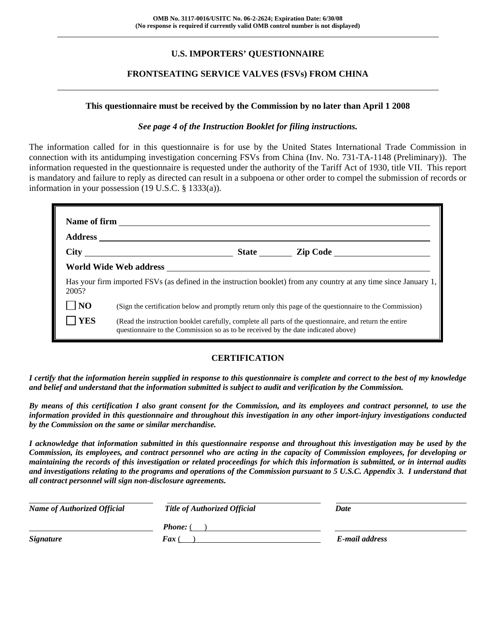# **U.S. IMPORTERS' QUESTIONNAIRE**

# **FRONTSEATING SERVICE VALVES (FSVs) FROM CHINA**

#### **This questionnaire must be received by the Commission by no later than April 1 2008**

#### *See page 4 of the Instruction Booklet for filing instructions.*

The information called for in this questionnaire is for use by the United States International Trade Commission in connection with its antidumping investigation concerning FSVs from China (Inv. No. 731-TA-1148 (Preliminary)). The information requested in the questionnaire is requested under the authority of the Tariff Act of 1930, title VII. This report is mandatory and failure to reply as directed can result in a subpoena or other order to compel the submission of records or information in your possession (19 U.S.C. § 1333(a)).

| 2005?          | Has your firm imported FSVs (as defined in the instruction booklet) from any country at any time since January 1,                                                                            |  |  |  |
|----------------|----------------------------------------------------------------------------------------------------------------------------------------------------------------------------------------------|--|--|--|
| N <sub>O</sub> | (Sign the certification below and promptly return only this page of the questionnaire to the Commission)                                                                                     |  |  |  |
| <b>YES</b>     | (Read the instruction booklet carefully, complete all parts of the questionnaire, and return the entire<br>questionnaire to the Commission so as to be received by the date indicated above) |  |  |  |

# **CERTIFICATION**

*I certify that the information herein supplied in response to this questionnaire is complete and correct to the best of my knowledge and belief and understand that the information submitted is subject to audit and verification by the Commission.* 

*By means of this certification I also grant consent for the Commission, and its employees and contract personnel, to use the information provided in this questionnaire and throughout this investigation in any other import-injury investigations conducted by the Commission on the same or similar merchandise.* 

*I acknowledge that information submitted in this questionnaire response and throughout this investigation may be used by the Commission, its employees, and contract personnel who are acting in the capacity of Commission employees, for developing or maintaining the records of this investigation or related proceedings for which this information is submitted, or in internal audits and investigations relating to the programs and operations of the Commission pursuant to 5 U.S.C. Appendix 3. I understand that all contract personnel will sign non-disclosure agreements.* 

| <b>Name of Authorized Official</b> | <b>Title of Authorized Official</b> | Date           |
|------------------------------------|-------------------------------------|----------------|
|                                    | <b>Phone:</b> (                     |                |
| <i><b>Signature</b></i>            | <b>Fax</b> (                        | E-mail address |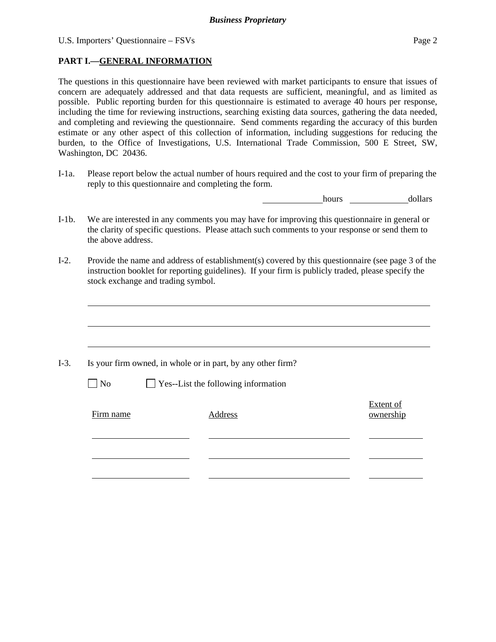# **PART I.—GENERAL INFORMATION**

The questions in this questionnaire have been reviewed with market participants to ensure that issues of concern are adequately addressed and that data requests are sufficient, meaningful, and as limited as possible. Public reporting burden for this questionnaire is estimated to average 40 hours per response, including the time for reviewing instructions, searching existing data sources, gathering the data needed, and completing and reviewing the questionnaire. Send comments regarding the accuracy of this burden estimate or any other aspect of this collection of information, including suggestions for reducing the burden, to the Office of Investigations, U.S. International Trade Commission, 500 E Street, SW, Washington, DC 20436.

I-1a. Please report below the actual number of hours required and the cost to your firm of preparing the reply to this questionnaire and completing the form.

hours dollars

- I-1b. We are interested in any comments you may have for improving this questionnaire in general or the clarity of specific questions. Please attach such comments to your response or send them to the above address.
- I-2. Provide the name and address of establishment(s) covered by this questionnaire (see page 3 of the instruction booklet for reporting guidelines). If your firm is publicly traded, please specify the stock exchange and trading symbol.

|           | Is your firm owned, in whole or in part, by any other firm? |                               |
|-----------|-------------------------------------------------------------|-------------------------------|
| $\neg$ No | $\Box$ Yes--List the following information                  |                               |
| Firm name | Address                                                     | <b>Extent of</b><br>ownership |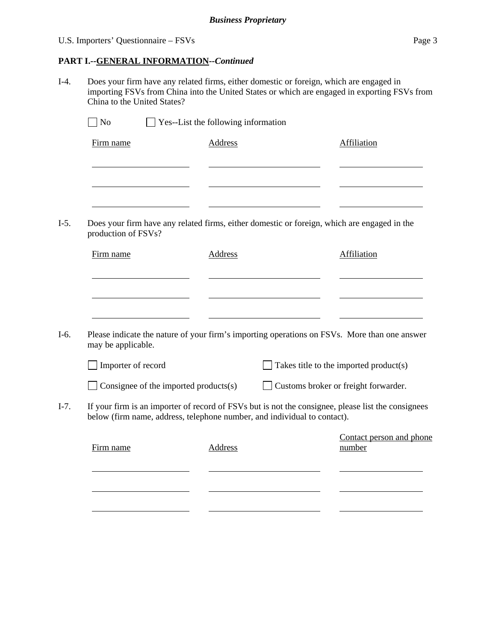# U.S. Importers' Questionnaire – FSVs Page 3

# **PART I.--GENERAL INFORMATION***--Continued*

I-4. Does your firm have any related firms, either domestic or foreign, which are engaged in importing FSVs from China into the United States or which are engaged in exporting FSVs from China to the United States?

| Firm name                                                                             | <b>Address</b> | Affiliation                                                                                        |
|---------------------------------------------------------------------------------------|----------------|----------------------------------------------------------------------------------------------------|
|                                                                                       |                |                                                                                                    |
| production of FSVs?                                                                   |                | Does your firm have any related firms, either domestic or foreign, which are engaged in the        |
| Firm name                                                                             | Address        | Affiliation                                                                                        |
|                                                                                       |                |                                                                                                    |
| may be applicable.                                                                    |                | Please indicate the nature of your firm's importing operations on FSVs. More than one answer       |
| Importer of record                                                                    |                | Takes title to the imported product(s)                                                             |
| $\Box$ Consignee of the imported products(s)                                          |                | Customs broker or freight forwarder.                                                               |
|                                                                                       |                | If your firm is an importer of record of FSVs but is not the consignee, please list the consignees |
| below (firm name, address, telephone number, and individual to contact).<br>Firm name | <b>Address</b> | Contact person and phone<br>number                                                                 |
|                                                                                       |                |                                                                                                    |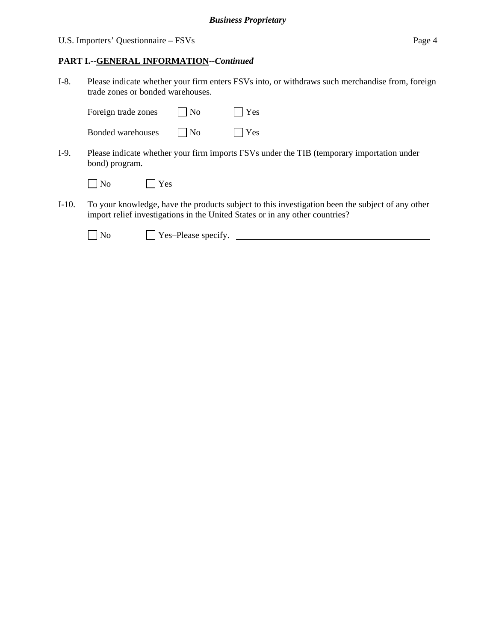# U.S. Importers' Questionnaire – FSVs Page 4

#### **PART I.--GENERAL INFORMATION***--Continued*

I-8. Please indicate whether your firm enters FSVs into, or withdraws such merchandise from, foreign trade zones or bonded warehouses.

| Foreign trade zones | $\vert$ $\vert$ No | $\Box$ Yes |
|---------------------|--------------------|------------|
| Bonded warehouses   | N <sub>0</sub>     | $\Box$ Yes |

I-9. Please indicate whether your firm imports FSVs under the TIB (temporary importation under bond) program.

| $\overline{\text{No}}$ | l Yes |
|------------------------|-------|
|------------------------|-------|

 $\overline{a}$ 

I-10. To your knowledge, have the products subject to this investigation been the subject of any other import relief investigations in the United States or in any other countries?

| $\vert$   No | $\vert$ Yes-Please specify. |  |
|--------------|-----------------------------|--|
|              |                             |  |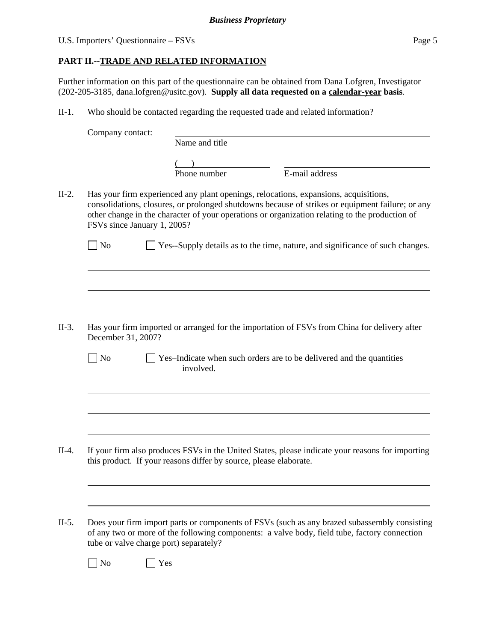# U.S. Importers' Questionnaire – FSVs Page 5

# **PART II.--TRADE AND RELATED INFORMATION**

Further information on this part of the questionnaire can be obtained from Dana Lofgren, Investigator (202-205-3185, dana.lofgren@usitc.gov). **Supply all data requested on a calendar-year basis**.

II-1. Who should be contacted regarding the requested trade and related information?

|         | Company contact:                       | Name and title                                                    |                                                                                                                                                                                                                                                                                            |  |
|---------|----------------------------------------|-------------------------------------------------------------------|--------------------------------------------------------------------------------------------------------------------------------------------------------------------------------------------------------------------------------------------------------------------------------------------|--|
|         |                                        |                                                                   |                                                                                                                                                                                                                                                                                            |  |
|         |                                        | Phone number                                                      | E-mail address                                                                                                                                                                                                                                                                             |  |
|         |                                        |                                                                   |                                                                                                                                                                                                                                                                                            |  |
| $II-2.$ | FSVs since January 1, 2005?            |                                                                   | Has your firm experienced any plant openings, relocations, expansions, acquisitions,<br>consolidations, closures, or prolonged shutdowns because of strikes or equipment failure; or any<br>other change in the character of your operations or organization relating to the production of |  |
|         | $\exists$ No                           |                                                                   | Yes--Supply details as to the time, nature, and significance of such changes.                                                                                                                                                                                                              |  |
|         |                                        |                                                                   |                                                                                                                                                                                                                                                                                            |  |
| $II-3.$ | December 31, 2007?                     |                                                                   | Has your firm imported or arranged for the importation of FSVs from China for delivery after                                                                                                                                                                                               |  |
|         | $\log$                                 | involved.                                                         | Yes-Indicate when such orders are to be delivered and the quantities                                                                                                                                                                                                                       |  |
|         |                                        |                                                                   |                                                                                                                                                                                                                                                                                            |  |
| $II-4.$ |                                        | this product. If your reasons differ by source, please elaborate. | If your firm also produces FSVs in the United States, please indicate your reasons for importing                                                                                                                                                                                           |  |
| $II-5.$ |                                        |                                                                   | Does your firm import parts or components of FSVs (such as any brazed subassembly consisting<br>of any two or more of the following components: a valve body, field tube, factory connection                                                                                               |  |
|         | tube or valve charge port) separately? |                                                                   |                                                                                                                                                                                                                                                                                            |  |
|         | $\rfloor$ No                           | Yes                                                               |                                                                                                                                                                                                                                                                                            |  |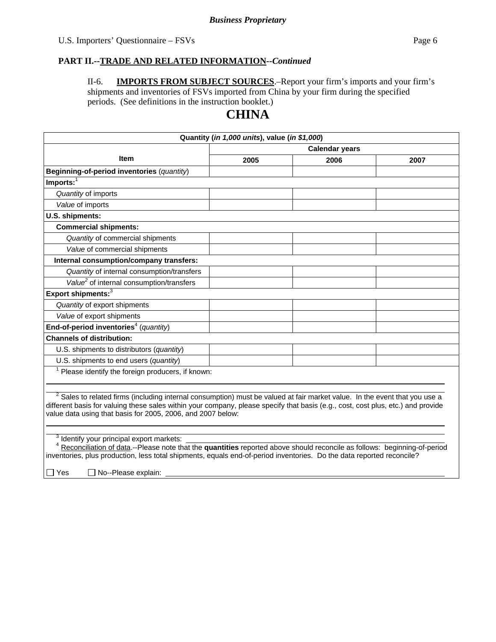#### **PART II.--TRADE AND RELATED INFORMATION***--Continued*

II-6. **IMPORTS FROM SUBJECT SOURCES**.–Report your firm's imports and your firm's shipments and inventories of FSVs imported from China by your firm during the specified periods. (See definitions in the instruction booklet.)

# **CHINA**

| Quantity (in 1,000 units), value (in \$1,000)                                                                                                                                                                                                                                                                                   |                       |      |      |  |
|---------------------------------------------------------------------------------------------------------------------------------------------------------------------------------------------------------------------------------------------------------------------------------------------------------------------------------|-----------------------|------|------|--|
|                                                                                                                                                                                                                                                                                                                                 | <b>Calendar years</b> |      |      |  |
| <b>Item</b>                                                                                                                                                                                                                                                                                                                     | 2005                  | 2006 | 2007 |  |
| Beginning-of-period inventories (quantity)                                                                                                                                                                                                                                                                                      |                       |      |      |  |
| Imports:                                                                                                                                                                                                                                                                                                                        |                       |      |      |  |
| Quantity of imports                                                                                                                                                                                                                                                                                                             |                       |      |      |  |
| Value of imports                                                                                                                                                                                                                                                                                                                |                       |      |      |  |
| U.S. shipments:                                                                                                                                                                                                                                                                                                                 |                       |      |      |  |
| <b>Commercial shipments:</b>                                                                                                                                                                                                                                                                                                    |                       |      |      |  |
| Quantity of commercial shipments                                                                                                                                                                                                                                                                                                |                       |      |      |  |
| Value of commercial shipments                                                                                                                                                                                                                                                                                                   |                       |      |      |  |
| Internal consumption/company transfers:                                                                                                                                                                                                                                                                                         |                       |      |      |  |
| Quantity of internal consumption/transfers                                                                                                                                                                                                                                                                                      |                       |      |      |  |
| Value <sup>2</sup> of internal consumption/transfers                                                                                                                                                                                                                                                                            |                       |      |      |  |
| Export shipments: <sup>3</sup>                                                                                                                                                                                                                                                                                                  |                       |      |      |  |
| Quantity of export shipments                                                                                                                                                                                                                                                                                                    |                       |      |      |  |
| Value of export shipments                                                                                                                                                                                                                                                                                                       |                       |      |      |  |
| End-of-period inventories <sup>4</sup> (quantity)                                                                                                                                                                                                                                                                               |                       |      |      |  |
| <b>Channels of distribution:</b>                                                                                                                                                                                                                                                                                                |                       |      |      |  |
| U.S. shipments to distributors (quantity)                                                                                                                                                                                                                                                                                       |                       |      |      |  |
| U.S. shipments to end users (quantity)                                                                                                                                                                                                                                                                                          |                       |      |      |  |
| $1$ Please identify the foreign producers, if known:                                                                                                                                                                                                                                                                            |                       |      |      |  |
|                                                                                                                                                                                                                                                                                                                                 |                       |      |      |  |
| $2$ Sales to related firms (including internal consumption) must be valued at fair market value. In the event that you use a<br>different basis for valuing these sales within your company, please specify that basis (e.g., cost, cost plus, etc.) and provide<br>value data using that basis for 2005, 2006, and 2007 below: |                       |      |      |  |
| Identify your principal export markets:<br>Reconciliation of data.--Please note that the quantities reported above should reconcile as follows: beginning-of-period<br>inventories, plus production, less total shipments, equals end-of-period inventories. Do the data reported reconcile?                                    |                       |      |      |  |

 $\Box$  Yes  $\Box$  No--Please explain: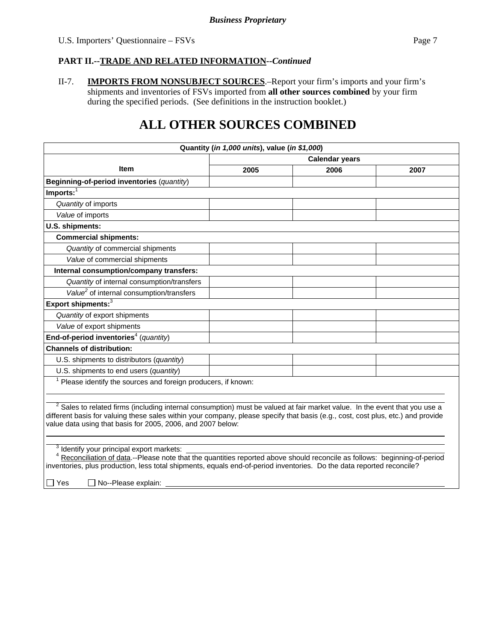### **PART II.--TRADE AND RELATED INFORMATION***--Continued*

II-7. **IMPORTS FROM NONSUBJECT SOURCES**.–Report your firm's imports and your firm's shipments and inventories of FSVs imported from **all other sources combined** by your firm during the specified periods. (See definitions in the instruction booklet.)

# **ALL OTHER SOURCES COMBINED**

| Quantity (in 1,000 units), value (in \$1,000)                                                                                                                                                                                                                                                                                            |                       |      |      |  |
|------------------------------------------------------------------------------------------------------------------------------------------------------------------------------------------------------------------------------------------------------------------------------------------------------------------------------------------|-----------------------|------|------|--|
|                                                                                                                                                                                                                                                                                                                                          | <b>Calendar years</b> |      |      |  |
| ltem                                                                                                                                                                                                                                                                                                                                     | 2005                  | 2006 | 2007 |  |
| Beginning-of-period inventories (quantity)                                                                                                                                                                                                                                                                                               |                       |      |      |  |
| $Imports:$ <sup>1</sup>                                                                                                                                                                                                                                                                                                                  |                       |      |      |  |
| Quantity of imports                                                                                                                                                                                                                                                                                                                      |                       |      |      |  |
| Value of imports                                                                                                                                                                                                                                                                                                                         |                       |      |      |  |
| U.S. shipments:                                                                                                                                                                                                                                                                                                                          |                       |      |      |  |
| <b>Commercial shipments:</b>                                                                                                                                                                                                                                                                                                             |                       |      |      |  |
| Quantity of commercial shipments                                                                                                                                                                                                                                                                                                         |                       |      |      |  |
| Value of commercial shipments                                                                                                                                                                                                                                                                                                            |                       |      |      |  |
| Internal consumption/company transfers:                                                                                                                                                                                                                                                                                                  |                       |      |      |  |
| Quantity of internal consumption/transfers                                                                                                                                                                                                                                                                                               |                       |      |      |  |
| Value <sup>2</sup> of internal consumption/transfers                                                                                                                                                                                                                                                                                     |                       |      |      |  |
| Export shipments: <sup>3</sup>                                                                                                                                                                                                                                                                                                           |                       |      |      |  |
| Quantity of export shipments                                                                                                                                                                                                                                                                                                             |                       |      |      |  |
| Value of export shipments                                                                                                                                                                                                                                                                                                                |                       |      |      |  |
| End-of-period inventories <sup>4</sup> (quantity)                                                                                                                                                                                                                                                                                        |                       |      |      |  |
| <b>Channels of distribution:</b>                                                                                                                                                                                                                                                                                                         |                       |      |      |  |
| U.S. shipments to distributors (quantity)                                                                                                                                                                                                                                                                                                |                       |      |      |  |
| U.S. shipments to end users (quantity)                                                                                                                                                                                                                                                                                                   |                       |      |      |  |
| Please identify the sources and foreign producers, if known:                                                                                                                                                                                                                                                                             |                       |      |      |  |
|                                                                                                                                                                                                                                                                                                                                          |                       |      |      |  |
| <sup>2</sup> Sales to related firms (including internal consumption) must be valued at fair market value. In the event that you use a<br>different basis for valuing these sales within your company, please specify that basis (e.g., cost, cost plus, etc.) and provide<br>value data using that basis for 2005, 2006, and 2007 below: |                       |      |      |  |
|                                                                                                                                                                                                                                                                                                                                          |                       |      |      |  |
| Identify your principal export markets:<br>3<br>Reconciliation of data.--Please note that the quantities reported above should reconcile as follows: beginning-of-period<br>inventories, plus production, less total shipments, equals end-of-period inventories. Do the data reported reconcile?                                        |                       |      |      |  |

Pu Yes <sub>No</sub>--Please explain: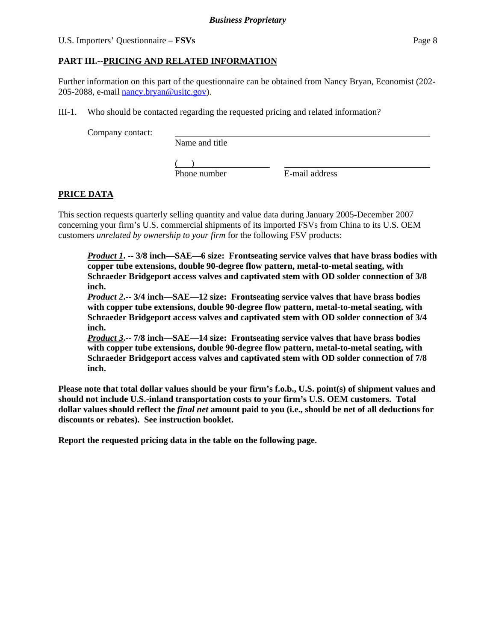# U.S. Importers' Questionnaire – **FSVs** Page 8

# **PART III.--PRICING AND RELATED INFORMATION**

Further information on this part of the questionnaire can be obtained from Nancy Bryan, Economist (202- 205-2088, e-mail nancy.bryan@usitc.gov).

III-1. Who should be contacted regarding the requested pricing and related information?

Company contact:

Name and title

 $($ Phone number E-mail address

# **PRICE DATA**

This section requests quarterly selling quantity and value data during January 2005-December 2007 concerning your firm's U.S. commercial shipments of its imported FSVs from China to its U.S. OEM customers *unrelated by ownership to your firm* for the following FSV products:

*Product 1***. -- 3/8 inch—SAE—6 size: Frontseating service valves that have brass bodies with copper tube extensions, double 90-degree flow pattern, metal-to-metal seating, with Schraeder Bridgeport access valves and captivated stem with OD solder connection of 3/8 inch.** 

*Product 2***.-- 3/4 inch—SAE—12 size: Frontseating service valves that have brass bodies with copper tube extensions, double 90-degree flow pattern, metal-to-metal seating, with Schraeder Bridgeport access valves and captivated stem with OD solder connection of 3/4 inch.** 

*Product 3***.-- 7/8 inch—SAE—14 size: Frontseating service valves that have brass bodies with copper tube extensions, double 90-degree flow pattern, metal-to-metal seating, with Schraeder Bridgeport access valves and captivated stem with OD solder connection of 7/8 inch.** 

**Please note that total dollar values should be your firm's f.o.b., U.S. point(s) of shipment values and should not include U.S.-inland transportation costs to your firm's U.S. OEM customers. Total dollar values should reflect the** *final net* **amount paid to you (i.e., should be net of all deductions for discounts or rebates). See instruction booklet.** 

**Report the requested pricing data in the table on the following page.**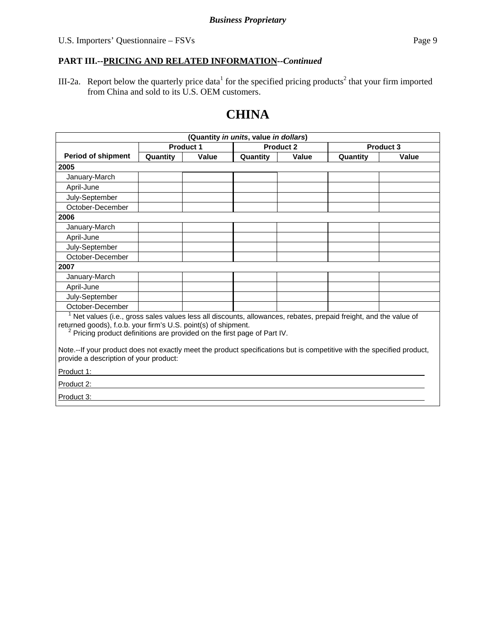# **PART III.--PRICING AND RELATED INFORMATION***--Continued*

III-2a. Report below the quarterly price data<sup>1</sup> for the specified pricing products<sup>2</sup> that your firm imported from China and sold to its U.S. OEM customers.

# **CHINA**

| (Quantity in units, value in dollars)                                                                                                                                                                                                                                    |           |       |                  |       |           |       |
|--------------------------------------------------------------------------------------------------------------------------------------------------------------------------------------------------------------------------------------------------------------------------|-----------|-------|------------------|-------|-----------|-------|
|                                                                                                                                                                                                                                                                          | Product 1 |       | <b>Product 2</b> |       | Product 3 |       |
| <b>Period of shipment</b>                                                                                                                                                                                                                                                | Quantity  | Value | Quantity         | Value | Quantity  | Value |
| 2005                                                                                                                                                                                                                                                                     |           |       |                  |       |           |       |
| January-March                                                                                                                                                                                                                                                            |           |       |                  |       |           |       |
| April-June                                                                                                                                                                                                                                                               |           |       |                  |       |           |       |
| July-September                                                                                                                                                                                                                                                           |           |       |                  |       |           |       |
| October-December                                                                                                                                                                                                                                                         |           |       |                  |       |           |       |
| 2006                                                                                                                                                                                                                                                                     |           |       |                  |       |           |       |
| January-March                                                                                                                                                                                                                                                            |           |       |                  |       |           |       |
| April-June                                                                                                                                                                                                                                                               |           |       |                  |       |           |       |
| July-September                                                                                                                                                                                                                                                           |           |       |                  |       |           |       |
| October-December                                                                                                                                                                                                                                                         |           |       |                  |       |           |       |
| 2007                                                                                                                                                                                                                                                                     |           |       |                  |       |           |       |
| January-March                                                                                                                                                                                                                                                            |           |       |                  |       |           |       |
| April-June                                                                                                                                                                                                                                                               |           |       |                  |       |           |       |
| July-September                                                                                                                                                                                                                                                           |           |       |                  |       |           |       |
| October-December                                                                                                                                                                                                                                                         |           |       |                  |       |           |       |
| Net values (i.e., gross sales values less all discounts, allowances, rebates, prepaid freight, and the value of<br>returned goods), f.o.b. your firm's U.S. point(s) of shipment.<br><sup>2</sup> Pricing product definitions are provided on the first page of Part IV. |           |       |                  |       |           |       |
| Note.--If your product does not exactly meet the product specifications but is competitive with the specified product,<br>provide a description of your product:                                                                                                         |           |       |                  |       |           |       |
| Product 1:                                                                                                                                                                                                                                                               |           |       |                  |       |           |       |
| Product 2:                                                                                                                                                                                                                                                               |           |       |                  |       |           |       |
| Product 3:                                                                                                                                                                                                                                                               |           |       |                  |       |           |       |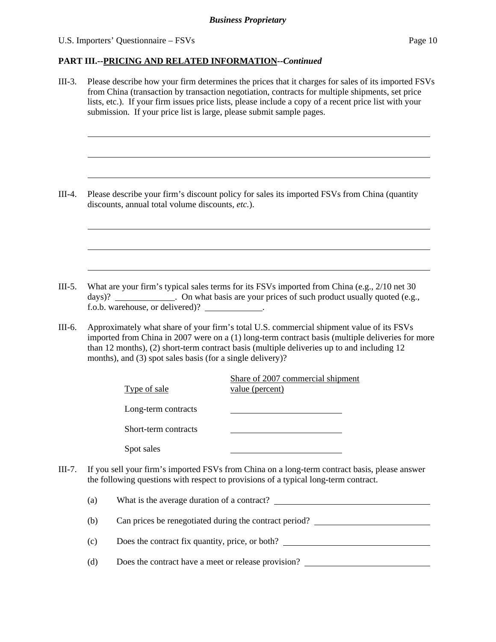#### U.S. Importers' Questionnaire – FSVs Page 10

 $\overline{a}$ 

 $\overline{a}$ 

 $\overline{a}$ 

 $\overline{a}$ 

 $\overline{a}$ 

 $\overline{a}$ 

#### **PART III.--PRICING AND RELATED INFORMATION***--Continued*

III-3. Please describe how your firm determines the prices that it charges for sales of its imported FSVs from China (transaction by transaction negotiation, contracts for multiple shipments, set price lists, etc.). If your firm issues price lists, please include a copy of a recent price list with your submission. If your price list is large, please submit sample pages.

III-4. Please describe your firm's discount policy for sales its imported FSVs from China (quantity discounts, annual total volume discounts, *etc.*).

III-5. What are your firm's typical sales terms for its FSVs imported from China (e.g., 2/10 net 30 days)? The contract on what basis are your prices of such product usually quoted (e.g.,  $\epsilon$ ) f.o.b. warehouse, or delivered)? .

III-6. Approximately what share of your firm's total U.S. commercial shipment value of its FSVs imported from China in 2007 were on a (1) long-term contract basis (multiple deliveries for more than 12 months), (2) short-term contract basis (multiple deliveries up to and including 12 months), and (3) spot sales basis (for a single delivery)?

| Type of sale         | Share of 2007 commercial shipment<br>value (percent) |
|----------------------|------------------------------------------------------|
| Long-term contracts  |                                                      |
| Short-term contracts |                                                      |
| Spot sales           |                                                      |

III-7. If you sell your firm's imported FSVs from China on a long-term contract basis, please answer the following questions with respect to provisions of a typical long-term contract.

| (a) | What is the average duration of a contract?            |
|-----|--------------------------------------------------------|
| (b) | Can prices be renegotiated during the contract period? |
|     |                                                        |

- (c) Does the contract fix quantity, price, or both?
- (d) Does the contract have a meet or release provision?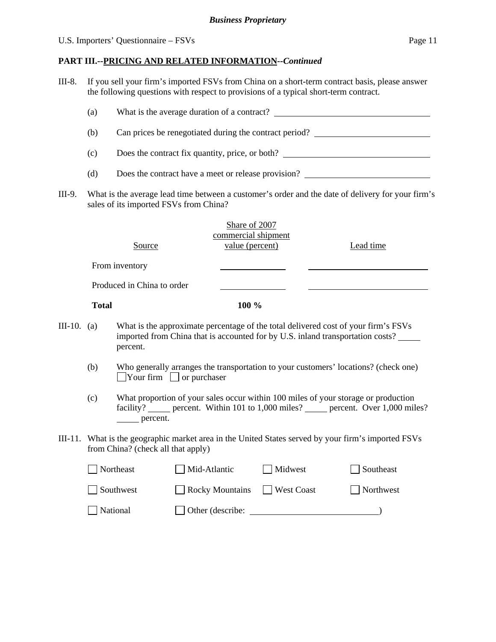# U.S. Importers' Questionnaire – FSVs Page 11

# **PART III.--PRICING AND RELATED INFORMATION***--Continued*

III-8. If you sell your firm's imported FSVs from China on a short-term contract basis, please answer the following questions with respect to provisions of a typical short-term contract.

| (a)                                                                                                                                       |              |                                                                                                                                                                                        |              |                                                         |  |                   |  |           |  |
|-------------------------------------------------------------------------------------------------------------------------------------------|--------------|----------------------------------------------------------------------------------------------------------------------------------------------------------------------------------------|--------------|---------------------------------------------------------|--|-------------------|--|-----------|--|
|                                                                                                                                           | (b)          | Can prices be renegotiated during the contract period?                                                                                                                                 |              |                                                         |  |                   |  |           |  |
| Does the contract fix quantity, price, or both?<br>(c)                                                                                    |              |                                                                                                                                                                                        |              |                                                         |  |                   |  |           |  |
| Does the contract have a meet or release provision?<br>(d)                                                                                |              |                                                                                                                                                                                        |              |                                                         |  |                   |  |           |  |
| III-9.                                                                                                                                    |              | What is the average lead time between a customer's order and the date of delivery for your firm's<br>sales of its imported FSVs from China?                                            |              |                                                         |  |                   |  |           |  |
|                                                                                                                                           |              | Source                                                                                                                                                                                 |              | Share of 2007<br>commercial shipment<br>value (percent) |  |                   |  | Lead time |  |
|                                                                                                                                           |              |                                                                                                                                                                                        |              |                                                         |  |                   |  |           |  |
|                                                                                                                                           |              | From inventory                                                                                                                                                                         |              |                                                         |  |                   |  |           |  |
|                                                                                                                                           |              | Produced in China to order                                                                                                                                                             |              |                                                         |  |                   |  |           |  |
|                                                                                                                                           | <b>Total</b> |                                                                                                                                                                                        |              | 100 %                                                   |  |                   |  |           |  |
| III-10. (a)                                                                                                                               |              | What is the approximate percentage of the total delivered cost of your firm's FSVs<br>imported from China that is accounted for by U.S. inland transportation costs?<br>percent.       |              |                                                         |  |                   |  |           |  |
|                                                                                                                                           | (b)          | Who generally arranges the transportation to your customers' locations? (check one)<br>$\Box$ Your firm $\Box$ or purchaser                                                            |              |                                                         |  |                   |  |           |  |
|                                                                                                                                           | (c)          | What proportion of your sales occur within 100 miles of your storage or production<br>facility? _____ percent. Within 101 to 1,000 miles? _____ percent. Over 1,000 miles?<br>percent. |              |                                                         |  |                   |  |           |  |
| III-11. What is the geographic market area in the United States served by your firm's imported FSVs<br>from China? (check all that apply) |              |                                                                                                                                                                                        |              |                                                         |  |                   |  |           |  |
|                                                                                                                                           | Northeast    |                                                                                                                                                                                        | Mid-Atlantic |                                                         |  | Midwest           |  | Southeast |  |
|                                                                                                                                           |              | Southwest                                                                                                                                                                              |              | <b>Rocky Mountains</b>                                  |  | <b>West Coast</b> |  | Northwest |  |
|                                                                                                                                           |              | National                                                                                                                                                                               |              | Other (describe:                                        |  |                   |  |           |  |
|                                                                                                                                           |              |                                                                                                                                                                                        |              |                                                         |  |                   |  |           |  |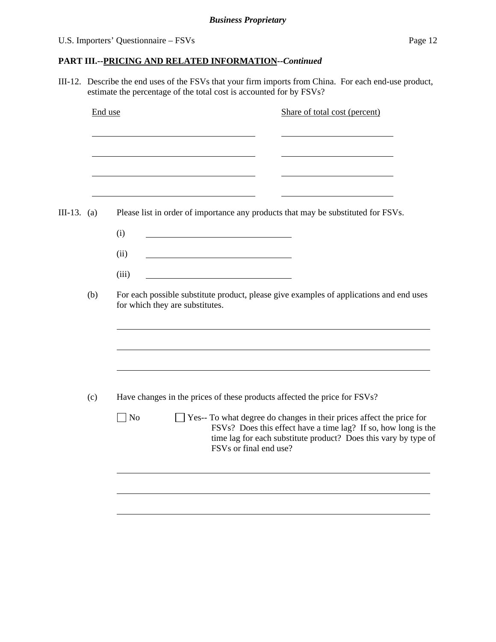# **PART III.--PRICING AND RELATED INFORMATION***--Continued*

III-12. Describe the end uses of the FSVs that your firm imports from China. For each end-use product, estimate the percentage of the total cost is accounted for by FSVs?

|               | End use                                                                                                                           | Share of total cost (percent)                                                                                                                                                                                                                 |  |  |  |  |  |  |  |  |
|---------------|-----------------------------------------------------------------------------------------------------------------------------------|-----------------------------------------------------------------------------------------------------------------------------------------------------------------------------------------------------------------------------------------------|--|--|--|--|--|--|--|--|
|               |                                                                                                                                   |                                                                                                                                                                                                                                               |  |  |  |  |  |  |  |  |
|               |                                                                                                                                   |                                                                                                                                                                                                                                               |  |  |  |  |  |  |  |  |
| $III-13. (a)$ |                                                                                                                                   | Please list in order of importance any products that may be substituted for FSVs.                                                                                                                                                             |  |  |  |  |  |  |  |  |
|               |                                                                                                                                   | (i)<br>(ii)<br><u> 1989 - Johann Stein, mars an t-Amerikaansk kommunister (</u>                                                                                                                                                               |  |  |  |  |  |  |  |  |
|               |                                                                                                                                   | (iii)                                                                                                                                                                                                                                         |  |  |  |  |  |  |  |  |
|               | For each possible substitute product, please give examples of applications and end uses<br>(b)<br>for which they are substitutes. |                                                                                                                                                                                                                                               |  |  |  |  |  |  |  |  |
|               |                                                                                                                                   |                                                                                                                                                                                                                                               |  |  |  |  |  |  |  |  |
|               | (c)                                                                                                                               | Have changes in the prices of these products affected the price for FSVs?                                                                                                                                                                     |  |  |  |  |  |  |  |  |
|               |                                                                                                                                   | Yes-- To what degree do changes in their prices affect the price for<br>$\log$<br>FSVs? Does this effect have a time lag? If so, how long is the<br>time lag for each substitute product? Does this vary by type of<br>FSVs or final end use? |  |  |  |  |  |  |  |  |
|               |                                                                                                                                   |                                                                                                                                                                                                                                               |  |  |  |  |  |  |  |  |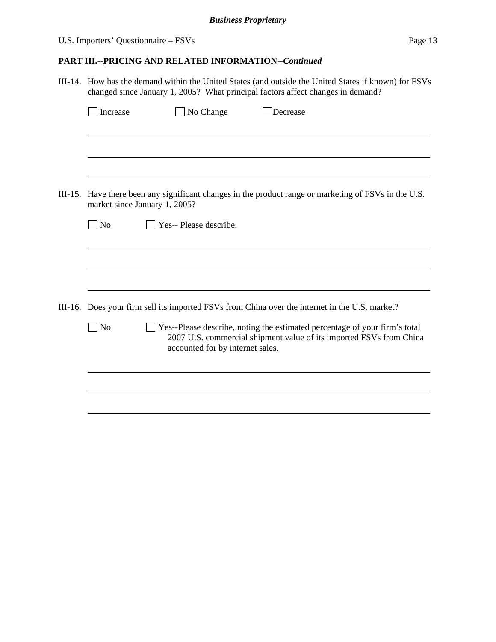# U.S. Importers' Questionnaire – FSVs Page 13

# **PART III.--PRICING AND RELATED INFORMATION***--Continued*

|  | III-14. How has the demand within the United States (and outside the United States if known) for FSVs<br>changed since January 1, 2005? What principal factors affect changes in demand? |                                                         |                                                                                                                                                   |  |  |  |  |
|--|------------------------------------------------------------------------------------------------------------------------------------------------------------------------------------------|---------------------------------------------------------|---------------------------------------------------------------------------------------------------------------------------------------------------|--|--|--|--|
|  | Increase                                                                                                                                                                                 | No Change                                               | Decrease                                                                                                                                          |  |  |  |  |
|  |                                                                                                                                                                                          |                                                         |                                                                                                                                                   |  |  |  |  |
|  |                                                                                                                                                                                          |                                                         | III-15. Have there been any significant changes in the product range or marketing of FSVs in the U.S.                                             |  |  |  |  |
|  | $\overline{\phantom{a}}$ No                                                                                                                                                              | market since January 1, 2005?<br>Yes-- Please describe. |                                                                                                                                                   |  |  |  |  |
|  |                                                                                                                                                                                          |                                                         |                                                                                                                                                   |  |  |  |  |
|  |                                                                                                                                                                                          |                                                         |                                                                                                                                                   |  |  |  |  |
|  |                                                                                                                                                                                          |                                                         | III-16. Does your firm sell its imported FSVs from China over the internet in the U.S. market?                                                    |  |  |  |  |
|  | N <sub>o</sub>                                                                                                                                                                           | accounted for by internet sales.                        | Yes--Please describe, noting the estimated percentage of your firm's total<br>2007 U.S. commercial shipment value of its imported FSVs from China |  |  |  |  |
|  |                                                                                                                                                                                          |                                                         |                                                                                                                                                   |  |  |  |  |
|  |                                                                                                                                                                                          |                                                         |                                                                                                                                                   |  |  |  |  |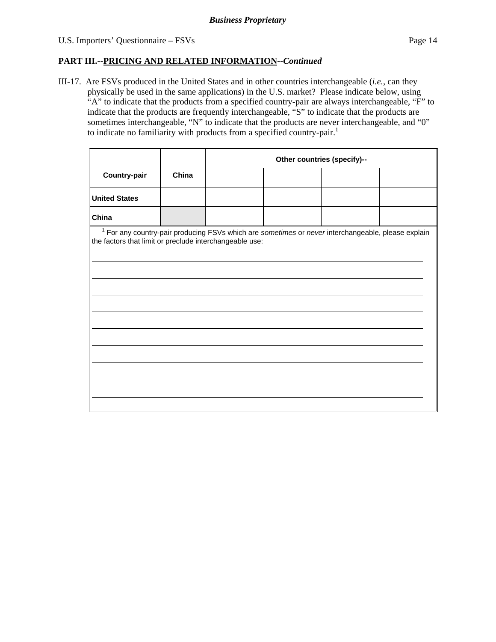# **PART III.--PRICING AND RELATED INFORMATION***--Continued*

III-17. Are FSVs produced in the United States and in other countries interchangeable (*i.e.*, can they physically be used in the same applications) in the U.S. market? Please indicate below, using "A" to indicate that the products from a specified country-pair are always interchangeable, "F" to indicate that the products are frequently interchangeable, "S" to indicate that the products are sometimes interchangeable, "N" to indicate that the products are never interchangeable, and "0" to indicate no familiarity with products from a specified country-pair.<sup>1</sup>

|                                                                                                                                                                          |       | Other countries (specify)-- |  |  |  |  |
|--------------------------------------------------------------------------------------------------------------------------------------------------------------------------|-------|-----------------------------|--|--|--|--|
| Country-pair                                                                                                                                                             | China |                             |  |  |  |  |
| <b>United States</b>                                                                                                                                                     |       |                             |  |  |  |  |
| China                                                                                                                                                                    |       |                             |  |  |  |  |
| <sup>1</sup> For any country-pair producing FSVs which are sometimes or never interchangeable, please explain<br>the factors that limit or preclude interchangeable use: |       |                             |  |  |  |  |
|                                                                                                                                                                          |       |                             |  |  |  |  |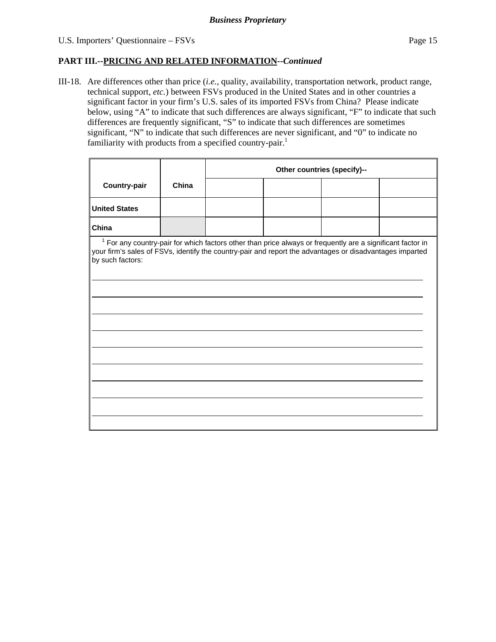#### **PART III.--PRICING AND RELATED INFORMATION***--Continued*

III-18. Are differences other than price (*i.e.*, quality, availability, transportation network, product range, technical support, *etc.*) between FSVs produced in the United States and in other countries a significant factor in your firm's U.S. sales of its imported FSVs from China? Please indicate below, using "A" to indicate that such differences are always significant, "F" to indicate that such differences are frequently significant, "S" to indicate that such differences are sometimes significant, "N" to indicate that such differences are never significant, and "0" to indicate no familiarity with products from a specified country-pair.<sup>1</sup>

|                                                                                                                                                                                                                                                       | Other countries (specify)-- |  |  |  |  |  |  |
|-------------------------------------------------------------------------------------------------------------------------------------------------------------------------------------------------------------------------------------------------------|-----------------------------|--|--|--|--|--|--|
| China                                                                                                                                                                                                                                                 |                             |  |  |  |  |  |  |
|                                                                                                                                                                                                                                                       |                             |  |  |  |  |  |  |
|                                                                                                                                                                                                                                                       |                             |  |  |  |  |  |  |
| China<br>$1$ For any country-pair for which factors other than price always or frequently are a significant factor in<br>your firm's sales of FSVs, identify the country-pair and report the advantages or disadvantages imparted<br>by such factors: |                             |  |  |  |  |  |  |
|                                                                                                                                                                                                                                                       |                             |  |  |  |  |  |  |
|                                                                                                                                                                                                                                                       |                             |  |  |  |  |  |  |